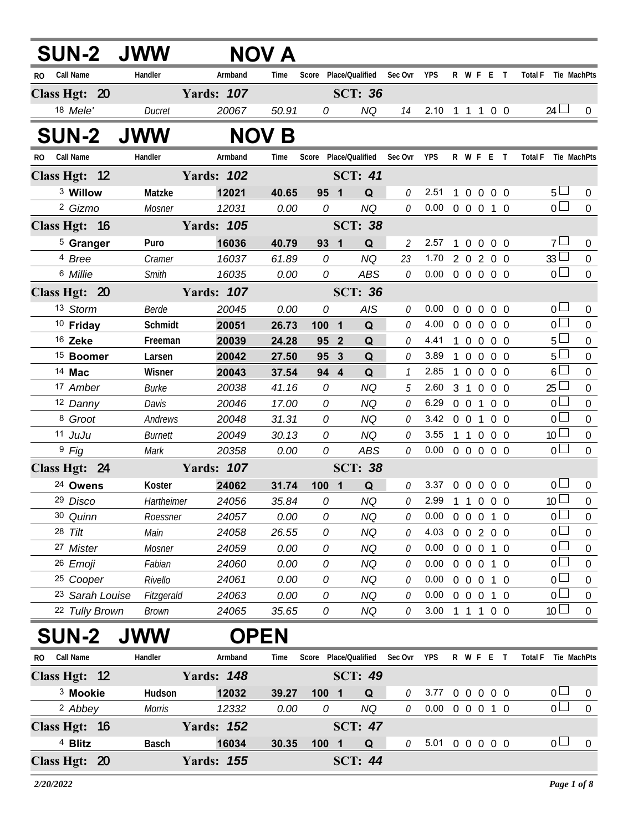| <b>SUN-2 JWW</b>     |                |                   | NOV A        |                               |                |             |                |                            |                |                                    |                   |                |                               |                  |
|----------------------|----------------|-------------------|--------------|-------------------------------|----------------|-------------|----------------|----------------------------|----------------|------------------------------------|-------------------|----------------|-------------------------------|------------------|
| RO Call Name         | Handler        | Armband           | Time         | Score Place/Qualified         |                |             | Sec Ovr        | <b>YPS</b>                 |                | R W F E T                          |                   |                | Total F Tie MachPts           |                  |
| Class Hgt: 20        |                | <b>Yards: 107</b> |              |                               | <b>SCT: 36</b> |             |                |                            |                |                                    |                   |                |                               |                  |
| 18 Mele'             | Ducret         | 20067             | 50.91        | 0                             |                | <b>NQ</b>   | 14             | 2.10 1 1 1 0 0             |                |                                    |                   |                | 24                            | 0                |
| <b>SUN-2 JWW</b>     |                |                   | <b>NOV B</b> |                               |                |             |                |                            |                |                                    |                   |                |                               |                  |
| RO Call Name         | Handler        | Armband           | Time         | Score Place/Qualified Sec Ovr |                |             |                | YPS                        |                | R W F E T                          |                   |                | <b>Total F</b><br>Tie MachPts |                  |
| Class Hgt: 12        |                | <b>Yards: 102</b> |              |                               | <b>SCT: 41</b> |             |                |                            |                |                                    |                   |                |                               |                  |
| <sup>3</sup> Willow  | Matzke         | 12021             | 40.65        | 95 1                          |                | Q           | 0              | 2.51                       | $\mathbf{1}$   | $\overline{0}$                     | $0\quad 0\quad 0$ |                | 5 <sup>1</sup>                | $\mathbf 0$      |
| <sup>2</sup> Gizmo   | Mosner         | 12031             | 0.00         | 0                             |                | <b>NQ</b>   | 0              | $0.00 \t0 \t0 \t0 \t1 \t0$ |                |                                    |                   |                | $\overline{0}$                | $\overline{0}$   |
| Class Hgt: 16        |                | <b>Yards: 105</b> |              |                               | <b>SCT: 38</b> |             |                |                            |                |                                    |                   |                |                               |                  |
| <sup>5</sup> Granger | Puro           | 16036             | 40.79        | 93 1                          |                | $\mathbf Q$ | $\overline{2}$ | 2.57                       | 1              | $\overline{0}$<br>$\mathbf 0$      | 0 <sub>0</sub>    |                | 7 <sup>1</sup>                | $\mathbf 0$      |
| 4 Bree               | Cramer         | 16037             | 61.89        | 0                             |                | <b>NQ</b>   | 23             | 1.70 2 0 2 0 0             |                |                                    |                   |                | 33 <sup>2</sup>               | $\boldsymbol{0}$ |
| 6 Millie             | Smith          | 16035             | 0.00         | 0                             |                | <b>ABS</b>  | $\mathcal O$   | $0.00 \t0 \t0 \t0 \t0 \t0$ |                |                                    |                   |                | 0 <sup>1</sup>                | $\overline{0}$   |
| Class Hgt: 20        |                | <b>Yards: 107</b> |              |                               | <b>SCT: 36</b> |             |                |                            |                |                                    |                   |                |                               |                  |
| 13 Storm             | Berde          | 20045             | 0.00         | 0                             |                | AIS         | 0              | 0.00                       | $\mathbf{0}$   | $\overline{0}$<br>$\mathbf 0$      | 0 <sub>0</sub>    |                | 0 <sub>0</sub>                | $\overline{0}$   |
| <sup>10</sup> Friday | Schmidt        | 20051             | 26.73        | 100 1                         |                | Q           | $\mathcal{O}$  | 4.00                       | $0\quad 0$     | $\mathbf 0$                        | $0\quad 0$        |                | $\overline{0}$                | 0                |
| 16 Zeke              | Freeman        | 20039             | 24.28        | 95 2                          |                | Q           | 0              | 4.41                       |                | 1 0 0 0 0                          |                   |                | 5 <sub>1</sub>                | $\boldsymbol{0}$ |
| <sup>15</sup> Boomer | Larsen         | 20042             | 27.50        | 95                            | $\mathbf{3}$   | Q           | $\theta$       | 3.89                       |                | $1\quad0\quad0$                    | 0 <sub>0</sub>    |                | 5 <sup>1</sup>                | 0                |
| 14 Mac               | Wisner         | 20043             | 37.54        | 94 4                          |                | Q           | $\mathcal{I}$  | 2.85                       | $\mathbf{1}$   | $0\quad 0$                         | 0 <sub>0</sub>    |                | $6+$                          | $\boldsymbol{0}$ |
| 17 Amber             | <b>Burke</b>   | 20038             | 41.16        | $\mathcal{O}$                 |                | <b>NQ</b>   | 5              | 2.60                       |                | 3 1 0                              | 0 <sub>0</sub>    |                | 25                            | 0                |
| 12 Danny             | Davis          | 20046             | 17.00        | 0                             |                | <b>NQ</b>   | $\theta$       | 6.29                       |                | 0 0 1 0 0                          |                   |                | 0 <sup>1</sup>                | $\boldsymbol{0}$ |
| 8 Groot              | Andrews        | 20048             | 31.31        | 0                             |                | <b>NQ</b>   | $\mathcal O$   | $3.42 \t0 \t0 \t1$         |                |                                    | 0 <sub>0</sub>    |                | 0 <sup>1</sup>                | $\boldsymbol{0}$ |
| 11 JuJu              | <b>Burnett</b> | 20049             | 30.13        | 0                             |                | <b>NQ</b>   | 0              | 3.55                       |                | 1 1 0 0 0                          |                   |                | 10 <sup>2</sup>               | $\boldsymbol{0}$ |
| <sup>9</sup> Fig     | Mark           | 20358             | 0.00         | 0                             |                | <b>ABS</b>  | 0              | $0.00 \t0 \t0 \t0 \t0 \t0$ |                |                                    |                   |                | $\overline{0}$                | $\boldsymbol{0}$ |
| Class Hgt: 24        |                | <b>Yards: 107</b> |              |                               | <b>SCT: 38</b> |             |                |                            |                |                                    |                   |                |                               |                  |
| <sup>24</sup> Owens  | Koster         | 24062             | 31.74        | 1001                          |                | Q           | 0              | 3.37                       | $0\quad 0$     | $\overline{0}$                     |                   | $0\quad 0$     | 0 <sub>0</sub>                | 0                |
| 29 Disco             | Hartheimer     | 24056             | 35.84        | 0                             |                | <b>NQ</b>   | $\mathcal O$   | 2.99                       |                | $1 1 0$                            | $0\quad 0$        |                | 10 <sup>°</sup>               | $\mathbf 0$      |
| 30 Quinn             | Roessner       | 24057             | 0.00         | 0                             |                | NQ          | 0              | 0.00                       | $\Omega$       | $\overline{0}$<br>$\overline{0}$   | $\mathbf{1}$      | 0              | 0                             | 0                |
| 28 Tilt              | Main           | 24058             | 26.55        | 0                             |                | <b>NQ</b>   | 0              | 4.03                       | $\Omega$       | $\overline{0}$                     | 200               |                | $\overline{0}$                | 0                |
| 27 Mister            | Mosner         | 24059             | 0.00         | 0                             |                | NQ          | 0              | 0.00                       | 0              | $\overline{0}$<br>$\overline{0}$   | $\mathbf{1}$      | -0             | $\boldsymbol{0}$              | 0                |
| 26 Emoji             | Fabian         | 24060             | 0.00         | 0                             |                | <b>NQ</b>   | 0              | 0.00                       | $\overline{0}$ | $\overline{0}$<br>$\boldsymbol{0}$ | $\overline{1}$    | $\overline{0}$ | $\mathbf 0$                   | 0                |
| <sup>25</sup> Cooper | Rivello        | 24061             | 0.00         | 0                             |                | NQ          | 0              | 0.00                       | $\Omega$       | $\overline{0}$<br>$\boldsymbol{0}$ | $\mathbf{1}$      | $\overline{0}$ | $\boldsymbol{0}$              | 0                |
| 23 Sarah Louise      | Fitzgerald     | 24063             | 0.00         | 0                             |                | <b>NQ</b>   | 0              | 0.00                       | $\Omega$       | $\overline{0}$<br>$\overline{0}$   | $1\quad0$         |                | $\overline{0}$                | 0                |
| 22 Tully Brown       | Brown          | 24065             | 35.65        | 0                             |                | NQ          | 0              | 3.00                       | $\overline{1}$ | 1 1 0 0                            |                   |                | 10 <sup>°</sup>               | 0                |
| <b>SUN-2</b>         | <b>JWW</b>     | <b>OPEN</b>       |              |                               |                |             |                |                            |                |                                    |                   |                |                               |                  |

| RO. | Call Name           | Handler      | Armband           | Time  | Score |     | Place/Qualified | Sec Ovr | <b>YPS</b> | R | WF       |  |                   | <b>Total F</b> |                | Tie MachPts |
|-----|---------------------|--------------|-------------------|-------|-------|-----|-----------------|---------|------------|---|----------|--|-------------------|----------------|----------------|-------------|
|     | Class Hgt: 12       |              | <b>Yards: 148</b> |       |       |     | <b>SCT: 49</b>  |         |            |   |          |  |                   |                |                |             |
|     | <sup>3</sup> Mookie | Hudson       | 12032             | 39.27 | 100   | - 1 | Q               |         | 3.77       |   | $\Omega$ |  | $0\quad 0\quad 0$ |                | 0 <sub>l</sub> |             |
|     | <sup>2</sup> Abbey  | Morris       | 12332             | 0.00  | 0     |     | NQ.             | 0       | 0.00       |   |          |  |                   |                |                |             |
|     | Class Hgt: 16       |              | <b>Yards: 152</b> |       |       |     | <b>SCT: 47</b>  |         |            |   |          |  |                   |                |                |             |
|     | $4$ Blitz           | <b>Basch</b> | 16034             | 30.35 | 100   | - 1 | Q               |         | 5.01       |   |          |  | 000               |                |                |             |
|     | Class Hgt: 20       |              | <b>Yards: 155</b> |       |       |     | <b>SCT: 44</b>  |         |            |   |          |  |                   |                |                |             |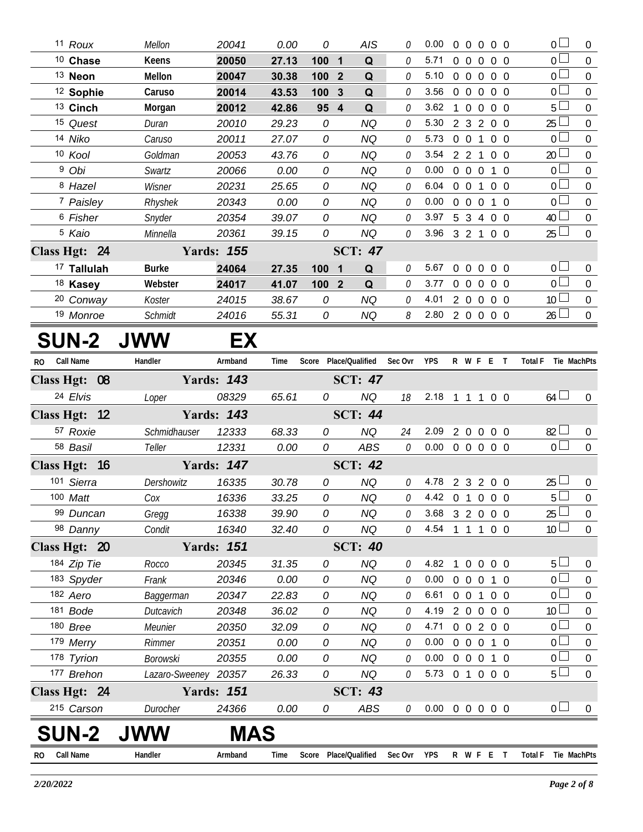|              | 11 Roux                | Mellon               | 20041             | 0.00  | 0     | AIS                               |                             | 0.00                       |                | $0\quad 0$     |                | $0\quad 0\quad 0$ | $0\Box$                       | $\mathbf{0}$     |
|--------------|------------------------|----------------------|-------------------|-------|-------|-----------------------------------|-----------------------------|----------------------------|----------------|----------------|----------------|-------------------|-------------------------------|------------------|
|              | 10 Chase               | Keens                | 20050             | 27.13 | 1001  | Q                                 | $\theta$                    | 5.71                       |                |                |                | 0 0 0 0 0         | 0 <sup>1</sup>                | $\overline{0}$   |
|              | 13 Neon                | Mellon               | 20047             | 30.38 | 100 2 | $\mathbf Q$                       | 0                           | 5.10 0 0 0 0 0             |                |                |                |                   | 0 <sup>1</sup>                | $\mathbf 0$      |
|              | <sup>12</sup> Sophie   | Caruso               | 20014             | 43.53 | 100 3 | Q                                 | 0                           | 3.56 0 0 0 0 0             |                |                |                |                   | $\overline{0}$                | $\overline{0}$   |
|              | 13 Cinch               | Morgan               | 20012             | 42.86 | 95 4  | Q                                 | 0                           | 3.62                       |                |                |                | 1 0 0 0 0         | 5                             | $\mathbf 0$      |
|              | 15 Quest               | Duran                | 20010             | 29.23 | 0     | <b>NQ</b>                         | 0                           | 5.30                       |                |                |                | 2 3 2 0 0         | 25                            | $\overline{0}$   |
|              | 14 Niko                | Caruso               | 20011             | 27.07 | 0     | <b>NQ</b>                         | 0                           | 5.73 0 0 1 0 0             |                |                |                |                   | 0 <sup>1</sup>                | $\boldsymbol{0}$ |
|              | 10 Kool                | Goldman              | 20053             | 43.76 | 0     | <b>NQ</b>                         | $\theta$                    | 3.54                       |                |                |                | 2 2 1 0 0         | 20                            | $\boldsymbol{0}$ |
|              | <sup>9</sup> Obi       | Swartz               | 20066             | 0.00  | 0     | <b>NQ</b>                         | 0                           | 0.00                       |                |                |                | 0 0 0 1 0         | $\overline{0}$                | $\mathbf 0$      |
|              | 8 Hazel                | Wisner               | 20231             | 25.65 | 0     | <b>NQ</b>                         | 0                           | 6.04                       |                | $0\quad 0$     |                | 100               | 0 <sup>1</sup>                | $\boldsymbol{0}$ |
|              | 7 Paisley              | Rhyshek              | 20343             | 0.00  | 0     | <b>NQ</b>                         | 0                           | 0.00                       |                |                |                | 0 0 0 1 0         | $\overline{0}$                | $\boldsymbol{0}$ |
|              | <sup>6</sup> Fisher    | Snyder               | 20354             | 39.07 | 0     | <b>NQ</b>                         | $\mathcal O$                | $3.97 \quad 5 \quad 3$     |                |                |                | 4 0 0             | 40                            | $\boldsymbol{0}$ |
|              | <sup>5</sup> Kaio      | Minnella             | 20361             | 39.15 | 0     | <b>NQ</b>                         | $\mathcal O$                | 3.96 3 2 1 0 0             |                |                |                |                   | 25                            | $\overline{0}$   |
|              | Class Hgt: 24          |                      | <b>Yards: 155</b> |       |       | <b>SCT: 47</b>                    |                             |                            |                |                |                |                   |                               |                  |
|              | <sup>17</sup> Tallulah | <b>Burke</b>         | 24064             | 27.35 | 100   | Q<br>$\overline{\mathbf{1}}$      | 0                           | 5.67                       | $\overline{0}$ | $\overline{0}$ | $\overline{0}$ | $0\quad 0$        | 0 <sup>1</sup>                | $\mathbf 0$      |
|              | <sup>18</sup> Kasey    | Webster              | 24017             | 41.07 | 100 2 | Q                                 | $\theta$                    | 3.77 0 0 0 0 0             |                |                |                |                   | $0^{\Box}$                    | $\boldsymbol{0}$ |
|              | <sup>20</sup> Conway   | Koster               | 24015             | 38.67 | 0     | <b>NQ</b>                         | $\theta$                    | 4.01 2 0 0 0 0             |                |                |                |                   | 10 <sup>1</sup>               | $\boldsymbol{0}$ |
|              | 19 Monroe              | Schmidt              | 24016             | 55.31 | 0     | NQ                                | $\mathcal{S}_{\mathcal{S}}$ | 2.80 2 0 0 0 0             |                |                |                |                   | $26 \Box$                     | $\overline{0}$   |
|              | <b>SUN-2</b>           | <b>JWW</b>           | EX                |       |       |                                   |                             |                            |                |                |                |                   |                               |                  |
| RO Call Name |                        | Handler              | Armband           | Time  |       | Score Place/Qualified Sec Ovr YPS |                             |                            |                |                |                |                   | R W F E T Total F Tie MachPts |                  |
|              | Class Hgt: 08          |                      | <b>Yards: 143</b> |       |       | SCT: $47$                         |                             |                            |                |                |                |                   |                               |                  |
|              | 24 Elvis               | Loper                | 08329             | 65.61 | 0     | NQ                                | 18                          | 2.18 1 1 1 0 0             |                |                |                |                   | $64 \Box$                     | $\overline{0}$   |
|              | Class Hgt: 12          |                      | <b>Yards: 143</b> |       |       | <b>SCT: 44</b>                    |                             |                            |                |                |                |                   |                               |                  |
|              | 57 Roxie               | Schmidhauser         | 12333             | 68.33 | 0     | <b>NQ</b>                         | 24                          | 2.09                       | 200            |                |                | $0\quad 0$        | 82                            | $\mathbf 0$      |
|              | 58 Basil               | Teller               | 12331             | 0.00  | 0     | ABS                               | $\mathcal O$                | $0.00 \t0 \t0 \t0 \t0 \t0$ |                |                |                |                   | 0 <sub>0</sub>                | $\mathbf 0$      |
|              | Class Hgt: 16          |                      | <b>Yards: 147</b> |       |       | <b>SCT: 42</b>                    |                             |                            |                |                |                |                   |                               |                  |
|              | 101 Sierra             | Dershowitz           | 16335             | 30.78 | 0     | <b>NQ</b>                         | 0                           | 4.78 2 3 2 0 0             |                |                |                |                   | 25                            | $\boldsymbol{0}$ |
|              | 100 Matt               | Cox                  | 16336             | 33.25 | 0     | <b>NQ</b>                         | $\theta$                    | 4.42 0 1 0 0 0             |                |                |                |                   | 5 <sup>1</sup>                | $\mathbf 0$      |
|              | 99 Duncan              | Gregg                | 16338             | 39.90 | 0     | <b>NQ</b>                         | 0                           | 3.68                       |                |                |                | 3 2 0 0 0         | 25                            | 0                |
|              | 98 Danny               | Condit               | 16340             | 32.40 | 0     | NQ                                | 0                           | 4.54                       | $\overline{1}$ |                |                | 1 1 0 0           | 10 <sup>L</sup>               | $\mathbf 0$      |
|              | Class Hgt: 20          |                      | <b>Yards: 151</b> |       |       | <b>SCT: 40</b>                    |                             |                            |                |                |                |                   |                               |                  |
|              | 184 Zip Tie            | Rocco                | 20345             | 31.35 | 0     | <b>NQ</b>                         | 0                           | 4.82                       | 1              | $\overline{0}$ | $\overline{0}$ | $0\quad 0$        | 5 <sup>1</sup>                | 0                |
|              | 183 Spyder             | Frank                | 20346             | 0.00  | 0     | <b>NQ</b>                         | 0                           | 0.00                       |                |                |                | 0 0 0 1 0         | 0 <sup>1</sup>                | $\boldsymbol{0}$ |
|              | 182 Aero               | Baggerman            | 20347             | 22.83 | 0     | <b>NQ</b>                         | 0                           | 6.61                       |                | $0\quad 0$     | $\mathbf{1}$   | $0\quad 0$        | 0 <sup>1</sup>                | 0                |
|              | 181 Bode               | Dutcavich            | 20348             | 36.02 | 0     | <b>NQ</b>                         | 0                           | 4.19                       |                |                |                | 2 0 0 0 0         | 10 <sup>L</sup>               | $\boldsymbol{0}$ |
|              | 180 Bree               | Meunier              | 20350             | 32.09 | 0     | <b>NQ</b>                         | 0                           | 4.71                       |                |                |                | 0 0 2 0 0         | $\overline{0}$                | $\boldsymbol{0}$ |
|              | 179 Merry              | Rimmer               | 20351             | 0.00  | 0     | <b>NQ</b>                         | 0                           | 0.00                       |                | $0\quad 0$     |                | $0$ 1 $0$         | $0-$                          | $\boldsymbol{0}$ |
|              | 178 Tyrion             | <b>Borowski</b>      | 20355             | 0.00  | 0     | <b>NQ</b>                         | 0                           | 0.00                       |                |                |                | 0 0 0 1 0         | 0 <sup>1</sup>                | $\mathbf{0}$     |
|              | 177 Brehon             | Lazaro-Sweeney 20357 |                   | 26.33 | 0     | NQ                                | 0                           | 5.73 0 1 0 0 0             |                |                |                |                   | $5+$                          | $\mathbf 0$      |
|              | Class Hgt: 24          |                      | <b>Yards: 151</b> |       |       | <b>SCT: 43</b>                    |                             |                            |                |                |                |                   |                               |                  |
|              | 215 Carson             | Durocher             | 24366             | 0.00  | 0     | ABS                               | 0                           | $0.00 \t0 \t0 \t0 \t0 \t0$ |                |                |                |                   | 0 <sup>1</sup>                | $\overline{0}$   |
|              | <b>SUN-2</b>           | <b>JWW</b>           | <b>MAS</b>        |       |       |                                   |                             |                            |                |                |                |                   |                               |                  |
| RO           | Call Name              | Handler              | Armband           | Time  |       | Score Place/Qualified             | Sec Ovr YPS                 |                            |                |                |                | R W F E T         | <b>Total F</b><br>Tie MachPts |                  |
|              |                        |                      |                   |       |       |                                   |                             |                            |                |                |                |                   |                               |                  |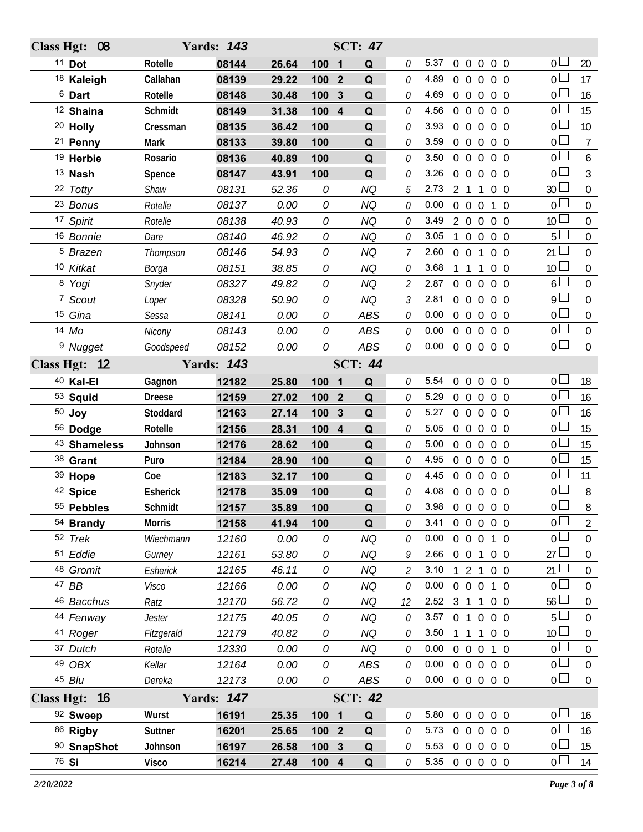| Class Hgt: 08         |                   | <b>Yards: 143</b> |              |                  |                | <b>SCT: 47</b>   |                             |                |                |                   |                |                   |                                   |                       |
|-----------------------|-------------------|-------------------|--------------|------------------|----------------|------------------|-----------------------------|----------------|----------------|-------------------|----------------|-------------------|-----------------------------------|-----------------------|
| $11$ Dot              | Rotelle           | 08144             | 26.64        | 100              | $\blacksquare$ | Q                | 0                           | 5.37           | $0\quad 0$     |                   |                | $0\quad 0\quad 0$ | 0 <sub>0</sub>                    | 20                    |
| <sup>18</sup> Kaleigh | Callahan          | 08139             | 29.22        | 100              | $\mathbf{2}$   | Q                | 0                           | 4.89           |                |                   |                | 0 0 0 0 0         | 0 <sup>1</sup>                    | 17                    |
| <sup>6</sup> Dart     | Rotelle           | 08148             | 30.48        | 100              | 3              | Q                | 0                           | 4.69           | $0\quad 0$     |                   | $\mathbf 0$    | $0\quad 0$        | 0 <sub>0</sub>                    | 16                    |
| <sup>12</sup> Shaina  | Schmidt           | 08149             | 31.38        | 100 4            |                | Q                | 0                           | 4.56           | $0\quad 0$     |                   | $\overline{0}$ | $0\quad 0$        | 0 <sup>L</sup>                    | 15                    |
| <sup>20</sup> Holly   | Cressman          | 08135             | 36.42        | 100              |                | Q                | 0                           | 3.93           | $0\quad 0$     |                   | $\overline{0}$ | $0\quad 0$        | 0 <sub>0</sub>                    | 10                    |
| <sup>21</sup> Penny   | Mark              | 08133             | 39.80        | 100              |                | Q                | 0                           | 3.59           | $0\quad 0$     |                   | $\mathbf 0$    | $0\quad 0$        | 0 <sub>1</sub>                    | $\overline{7}$        |
| <sup>19</sup> Herbie  | Rosario           | 08136             | 40.89        | 100              |                | Q                | 0                           | 3.50           | $0\quad 0$     |                   | $\overline{0}$ | $0\quad 0$        | $\overline{0}$                    | 6                     |
| <sup>13</sup> Nash    | Spence            | 08147             | 43.91        | 100              |                | Q                | 0                           | 3.26           | $0\quad 0$     |                   | $\overline{0}$ | $0\quad 0$        | $\overline{0}$                    | $\mathfrak{Z}$        |
| 22 Totty              | Shaw              | 08131             | 52.36        | 0                |                | <b>NQ</b>        | 5                           | 2.73           |                | $2 \t1 \t1$       |                | $0\quad 0$        | 30 <sup>1</sup>                   | $\mathbf 0$           |
| 23 Bonus              | Rotelle           | 08137             | 0.00         | 0                |                | <b>NQ</b>        | 0                           | 0.00           |                | $0\quad 0\quad 0$ |                | $1\quad$ 0        | 0 <sub>l</sub>                    | $\mathbf 0$           |
| 17 Spirit             | Rotelle           | 08138             | 40.93        | 0                |                | <b>NQ</b>        | 0                           | 3.49           | $2\quad 0$     |                   | $\overline{0}$ | $0\quad 0$        | 10 <sup>1</sup>                   | 0                     |
| 16 Bonnie             | Dare              | 08140             | 46.92        | 0                |                | <b>NQ</b>        | 0                           | 3.05           | $\mathbf{1}$   | $\overline{0}$    | $\mathbf 0$    | $0\quad 0$        | 5 <sub>1</sub>                    | $\mathbf 0$           |
| <sup>5</sup> Brazen   | Thompson          | 08146             | 54.93        | 0                |                | <b>NQ</b>        | 7                           | 2.60           | $0\quad 0$     |                   | $\overline{1}$ | $0\quad 0$        | 21                                | 0                     |
| 10 Kitkat             | Borga             | 08151             | 38.85        | 0                |                | <b>NQ</b>        | 0                           | 3.68           | 1 1            |                   | $\overline{1}$ | $0\quad 0$        | 10 <sup>2</sup>                   | $\mathbf 0$           |
| 8 Yogi                | Snyder            | 08327             | 49.82        | 0                |                | <b>NQ</b>        | 2                           | 2.87           | $0\quad 0$     |                   | $\Omega$       | $0\quad 0$        | 6                                 | 0                     |
| 7 Scout               | Loper             | 08328             | 50.90        | 0                |                | <b>NQ</b>        | 3                           | 2.81           | $0\quad 0$     |                   | $\overline{0}$ | $0\quad 0$        | $9+$                              | $\mathbf 0$           |
| 15 Gina               | Sessa             | 08141             | 0.00         | 0                |                | <b>ABS</b>       | 0                           | 0.00           | $0\quad 0$     |                   | $\overline{0}$ | $0\quad 0$        | 0 <sub>0</sub>                    | $\mathbf 0$           |
| 14 Mo                 | Nicony            | 08143             | 0.00         | 0                |                | ABS              | 0                           | 0.00           | $0\quad 0$     |                   | $\overline{0}$ | $0\quad 0$        | 0 <sup>1</sup>                    | $\boldsymbol{0}$      |
| <sup>9</sup> Nugget   | Goodspeed         | 08152             | 0.00         | 0                |                | ABS              | 0                           | 0.00           |                |                   |                | 0 0 0 0 0         | $\overline{0}$                    | $\boldsymbol{0}$      |
| Class Hgt: 12         |                   | <b>Yards: 143</b> |              |                  |                | <b>SCT: 44</b>   |                             |                |                |                   |                |                   |                                   |                       |
| 40 Kal-El             | Gagnon            | 12182             | 25.80        | 1001             |                | Q                | 0                           | 5.54           | $\overline{0}$ | $\mathbf 0$       | $\overline{0}$ | $0\quad 0$        | 0 <sub>0</sub>                    | 18                    |
| 53 Squid              | <b>Dreese</b>     | 12159             | 27.02        | 100              | $\overline{2}$ | Q                | 0                           | 5.29           | $0\quad 0$     |                   | $\overline{0}$ | $0\quad 0$        | 0 L                               | 16                    |
| $50$ Joy              | Stoddard          | 12163             | 27.14        | 100              | 3              | Q                | 0                           | 5.27           |                | $0\quad 0\quad 0$ |                | $0\quad 0$        | 0 <sub>0</sub>                    | 16                    |
| 56 Dodge              | Rotelle           | 12156             | 28.31        | 100              | 4              | Q                | 0                           | 5.05           | $0\quad 0$     |                   | $\mathbf{0}$   | 0 <sub>0</sub>    | 0 <sup>L</sup>                    | 15                    |
| 43 Shameless          | Johnson           | 12176             | 28.62        | 100              |                | Q                | 0                           | 5.00           |                | $0\quad 0\quad 0$ |                | $0\quad 0$        | 0 <sup>L</sup>                    | 15                    |
| 38 Grant              | Puro              | 12184             | 28.90        | 100              |                | Q                | 0                           | 4.95           | 0 <sub>0</sub> |                   | $\overline{0}$ | $0\quad 0$        | 0 L                               | 15                    |
| 39 Hope               | Coe               | 12183             | 32.17        | 100              |                | Q                | $\Omega$                    | 4.45           |                |                   |                | 00000             | 0 <sup>1</sup>                    | 11                    |
| 42 Spice              | <b>Esherick</b>   | 12178             | 35.09        | 100              |                | Q                | 0                           | 4.08           |                |                   |                | 0 0 0 0 0         | 0 <sub>0</sub>                    | $8\,$                 |
| 55 Pebbles            | Schmidt           | 12157             | 35.89        | 100              |                | Q                | 0                           | 3.98 0 0 0 0 0 |                |                   |                |                   | $\overline{0}$                    | 8                     |
| 54 Brandy             | <b>Morris</b>     | 12158             | 41.94        | 100              |                | Q                | <sup>n</sup>                | 3.41           |                |                   |                | 00000             | 0 <sub>0</sub>                    | 2                     |
| 52 Trek               | Wiechmann         | 12160             | 0.00         | 0                |                | <b>NQ</b>        | 0                           | 0.00           |                |                   |                | 0 0 0 1 0         | 0 <sub>0</sub>                    | $\mathbf 0$           |
| 51 Eddie              | Gurney            | 12161             | 53.80        | 0                |                | <b>NQ</b>        | 9                           | 2.66           |                |                   |                | 0 0 1 0 0         | $27 -$                            | $\overline{0}$        |
| 48 Gromit             | Esherick          | 12165             | 46.11        | 0                |                | <b>NQ</b>        | $\mathcal{L}_{\mathcal{L}}$ | 3.10           |                |                   |                | 12100             | $21 \perp$                        | $\boldsymbol{0}$      |
| 47 BB                 | Visco             | 12166             | 0.00         | 0                |                | <b>NQ</b>        | 0                           | 0.00           |                |                   |                | 0 0 0 1 0         | 0 <sup>1</sup>                    | 0                     |
| 46 Bacchus            | Ratz              | 12170             | 56.72        | 0                |                | <b>NQ</b>        | 12                          | 2.52 3 1 1 0 0 |                |                   |                |                   | 56 <sup>1</sup>                   | $\boldsymbol{0}$      |
| 44 Fenway             | Jester            | 12175             | 40.05        | 0                |                | <b>NQ</b>        | 0                           | 3.57           |                |                   |                | 0 1 0 0 0         | 5 <sup>L</sup><br>10 <sup>2</sup> | 0                     |
| 41 Roger              | Fitzgerald        | 12179             | 40.82        | 0                |                | <b>NQ</b>        | 0                           | 3.50           |                |                   |                | 1 1 1 0 0         |                                   | $\boldsymbol{0}$      |
| 37 Dutch<br>49 OBX    | Rotelle<br>Kellar | 12330             | 0.00<br>0.00 | 0<br>0           |                | <b>NQ</b><br>ABS | 0<br>0                      | 0.00<br>0.00   |                | $0\quad 0\quad 0$ |                | 1 0<br>0 0 0 0 0  | 0 <sup>L</sup><br>0 <sub>0</sub>  | 0<br>$\boldsymbol{0}$ |
| 45 Blu                | Dereka            | 12164<br>12173    | 0.00         | 0                |                | ABS              | 0                           | 0.00           |                |                   |                | 0 0 0 0 0         | 0 <sub>0</sub>                    | $\mathbf 0$           |
|                       |                   |                   |              |                  |                |                  |                             |                |                |                   |                |                   |                                   |                       |
| Class Hgt: 16         |                   | <b>Yards: 147</b> |              |                  |                | <b>SCT: 42</b>   |                             |                |                |                   |                |                   |                                   |                       |
| 92 Sweep              | Wurst             | 16191             | 25.35        | 100 1            |                | Q                | 0                           | 5.80           |                |                   |                | 0 0 0 0 0         | 0 <sub>0</sub>                    | 16                    |
| 86 Rigby              | Suttner           | 16201             | 25.65        | 100 2            |                | Q                | 0                           | 5.73           |                |                   |                | 00000             | 0 <sup>L</sup>                    | 16                    |
| 90 SnapShot           | Johnson           | 16197             | 26.58        | 100 <sub>3</sub> |                | Q                | 0                           | 5.53           |                |                   |                | 0 0 0 0 0         | 0 <sub>0</sub>                    | 15                    |
| 76 Si                 | <b>Visco</b>      | 16214             | 27.48        | 100 4            |                | Q                | 0                           | 5.35           |                |                   |                | 0 0 0 0 0         | 0 <sub>0</sub>                    | 14                    |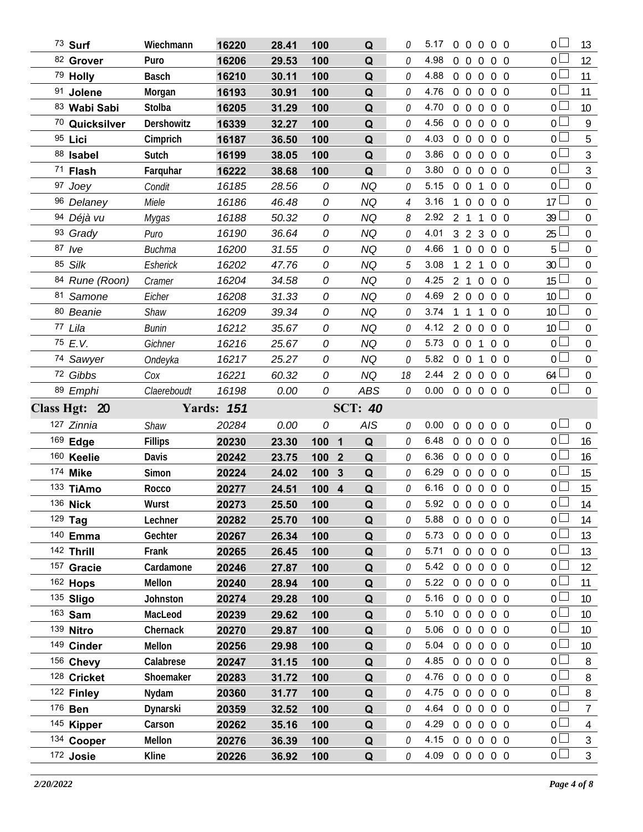| 73 Surf                 | Wiechmann      | 16220             | 28.41 | 100   | Q              | 0              | 5.17                   |                | $0\ 0\ 0\ 0\ 0$                  |                   |            | 0 <sub>1</sub>  | 13                               |
|-------------------------|----------------|-------------------|-------|-------|----------------|----------------|------------------------|----------------|----------------------------------|-------------------|------------|-----------------|----------------------------------|
| 82 Grover               | Puro           | 16206             | 29.53 | 100   | Q              | $\Omega$       | 4.98                   |                | $0\quad 0$<br>$\overline{0}$     |                   | $0\quad 0$ | 0 <sub>l</sub>  | 12                               |
| 79 Holly                | <b>Basch</b>   | 16210             | 30.11 | 100   | Q              | 0              | 4.88                   |                | $0\quad 0$<br>$\overline{0}$     |                   | $0\quad 0$ | 0 <sup>1</sup>  | 11                               |
| 91 Jolene               | Morgan         | 16193             | 30.91 | 100   | Q              | 0              | 4.76                   |                | $0\quad 0\quad 0$                |                   | $0\quad 0$ | 0 <sub>0</sub>  | 11                               |
| 83 Wabi Sabi            | Stolba         | 16205             | 31.29 | 100   | Q              | 0              | 4.70                   | $0\quad 0$     | $\overline{0}$                   |                   | $0\quad 0$ | 0 <sub>0</sub>  | 10 <sup>°</sup>                  |
| 70 Quicksilver          | Dershowitz     | 16339             | 32.27 | 100   | Q              | 0              | 4.56                   |                | $0\quad 0\quad 0$                |                   | $0\quad 0$ | 0 <sup>1</sup>  | 9                                |
| 95 Lici                 | Cimprich       | 16187             | 36.50 | 100   | Q              | 0              | 4.03                   | $0\quad 0$     | $\overline{0}$                   |                   | $0\quad 0$ | 0 <sub>0</sub>  | 5                                |
| 88 Isabel               | Sutch          | 16199             | 38.05 | 100   | Q              | 0              | 3.86                   | $\overline{0}$ | $\overline{0}$<br>$\overline{0}$ |                   | $0\quad 0$ | 0 <sub>0</sub>  | $\mathfrak{Z}$                   |
| 71 Flash                | Farquhar       | 16222             | 38.68 | 100   | Q              | 0              | 3.80                   | $0\quad 0$     | $\overline{0}$                   |                   | $0\quad 0$ | 0 <sub>0</sub>  | $\mathfrak{Z}$                   |
| 97 Joey                 | Condit         | 16185             | 28.56 | 0     | <b>NQ</b>      | 0              | 5.15                   |                | $0\quad 0$<br>$\mathbf{1}$       |                   | $0\quad 0$ | 0 <sup>2</sup>  | $\mathbf 0$                      |
| 96 Delaney              | Miele          | 16186             | 46.48 | 0     | <b>NQ</b>      | $\overline{4}$ | 3.16                   | 1              | $\overline{0}$<br>$\overline{0}$ |                   | $0\quad 0$ | 17              | $\mathbf 0$                      |
| 94 Déjà vu              | Mygas          | 16188             | 50.32 | 0     | <b>NQ</b>      | 8              | 2.92 2 1 1             |                |                                  |                   | $0\quad 0$ | $39 \Box$       | $\mathbf 0$                      |
| 93 Grady                | Puro           | 16190             | 36.64 | 0     | NQ             | 0              | 4.01                   |                | $3\quad 2\quad 3$                |                   | $0\quad 0$ | 25              | $\overline{0}$                   |
| 87 /ve                  | <b>Buchma</b>  | 16200             | 31.55 | 0     | <b>NQ</b>      | 0              | 4.66                   | 1              | $\overline{0}$<br>$\overline{0}$ |                   | $0\quad 0$ | 5 <sub>1</sub>  | $\mathbf 0$                      |
| 85 Silk                 | Esherick       | 16202             | 47.76 | 0     | NQ             | 5              | 3.08                   | $\overline{1}$ | 2 <sub>1</sub>                   |                   | $0\quad 0$ | 30              | $\mathbf 0$                      |
| 84 Rune (Roon)          | Cramer         | 16204             | 34.58 | 0     | <b>NQ</b>      | $\Omega$       | 4.25                   |                | 2 1 0                            |                   | $0\quad 0$ | 15 <sup>L</sup> | $\mathbf 0$                      |
| 81 Samone               | Eicher         | 16208             | 31.33 | 0     | <b>NQ</b>      | 0              | 4.69                   | $2\quad 0$     | $\overline{0}$                   |                   | $0\quad 0$ | 10 <sup>°</sup> | $\mathbf 0$                      |
| 80 Beanie               | Shaw           | 16209             | 39.34 | 0     | <b>NQ</b>      | $\Omega$       | 3.74                   | $\overline{1}$ | 1 1                              |                   | $0\quad 0$ | 10 <sup>L</sup> | $\mathbf 0$                      |
| 77 Lila                 | <b>Bunin</b>   | 16212             | 35.67 | 0     | <b>NQ</b>      | 0              | 4.12                   |                | 2 0 0 0 0                        |                   |            | 10 <sup>L</sup> | $\mathbf 0$                      |
| 75 E.V.                 | Gichner        | 16216             | 25.67 | 0     | <b>NQ</b>      | 0              | 5.73                   |                | $0 \quad 0 \quad 1$              |                   | $0\quad 0$ | 0 <sub>0</sub>  | $\mathbf 0$                      |
| 74 Sawyer               | Ondeyka        | 16217             | 25.27 | 0     | NQ             | 0              | 5.82                   |                | $0\quad 0$<br>$\mathbf{1}$       |                   | $0\quad 0$ | 0 <sub>0</sub>  | $\overline{0}$                   |
| 72 Gibbs                | Cox            | 16221             | 60.32 | 0     | <b>NQ</b>      | 18             | 2.44                   |                | 2 0 0 0 0                        |                   |            | $64$ $-$        | $\mathbf 0$                      |
| 89 Emphi                | Claereboudt    | 16198             | 0.00  | 0     | <b>ABS</b>     | $\mathcal O$   | 0.00                   |                | 0 0 0 0 0                        |                   |            | 0 <sub>0</sub>  | $\mathbf 0$                      |
|                         |                |                   |       |       |                |                |                        |                |                                  |                   |            |                 |                                  |
| Class Hgt: 20           |                | <b>Yards: 151</b> |       |       | <b>SCT: 40</b> |                |                        |                |                                  |                   |            |                 |                                  |
| 127 Zinnia              | Shaw           | 20284             | 0.00  | 0     | AIS            | 0              | 0.00                   | $0\quad 0$     |                                  | $0\quad 0\quad 0$ |            | 0 <sub>0</sub>  | $\overline{0}$                   |
| 169 Edge                | <b>Fillips</b> | 20230             | 23.30 | 100   | Q<br>1         | 0              | 6.48                   |                | $0\quad 0$<br>$\overline{0}$     |                   | $0\quad 0$ | 0 <sub>0</sub>  | 16                               |
| 160 Keelie              | Davis          | 20242             | 23.75 | 100 2 | Q              | 0              | 6.36                   |                | 0 0 0 0 0                        |                   |            | 0 <sup>1</sup>  | 16                               |
| 174 Mike                | Simon          | 20224             | 24.02 | 100   | 3<br>Q         | 0              | 6.29                   |                | 00000                            |                   |            | 0 <sub>0</sub>  | 15                               |
| 133 TiAmo               | Rocco          | 20277             | 24.51 | 100 4 | $\mathbf Q$    | $\theta$       | 6.16                   |                | 0 0 0 0 0                        |                   |            | 0 <sup>1</sup>  | 15                               |
| 136 Nick                | Wurst          | 20273             | 25.50 | 100   | Q              | 0              | 5.92 0 0 0 0 0         |                |                                  |                   |            | $\overline{0}$  | 14                               |
| 129 Tag                 | Lechner        | 20282             | 25.70 | 100   | Q              | 0              | 5.88                   |                | $00000$                          |                   |            | 0 <sub>0</sub>  | 14                               |
| 140 Emma                | Gechter        | 20267             | 26.34 | 100   | Q              | 0              | 5.73                   |                | 00000                            |                   |            | 0 L             | 13                               |
| 142 Thrill              | Frank          | 20265             | 26.45 | 100   | Q              | 0              | 5.71                   |                | 00000                            |                   |            | 0 <sup>L</sup>  | 13                               |
| 157 Gracie              | Cardamone      | 20246             | 27.87 | 100   | Q              | 0              | 5.42                   |                | 0 0 0 0 0                        |                   |            | 0 <sub>l</sub>  | 12                               |
| 162 Hops                | Mellon         | 20240             | 28.94 | 100   | Q              | 0              | 5.22 0 0 0 0 0         |                |                                  |                   |            | 0 <sub>0</sub>  | 11                               |
| 135 Sligo               | Johnston       | 20274             | 29.28 | 100   | Q              | 0              | 5.16                   |                | 00000                            |                   |            | 0 <sub>l</sub>  | 10 <sup>°</sup>                  |
| 163 Sam                 | MacLeod        | 20239             | 29.62 | 100   | Q              | 0              | 5.10                   |                | 0 0 0 0 0                        |                   |            | 0 <sup>1</sup>  | 10 <sup>°</sup>                  |
| 139 Nitro               | Chernack       | 20270             | 29.87 | 100   | Q              | 0              | 5.06                   |                | 0 <sub>0</sub>                   | $0\quad 0\quad 0$ |            | 0 <sub>l</sub>  | 10 <sup>°</sup>                  |
| 149 Cinder              | Mellon         | 20256             | 29.98 | 100   | Q              | 0              | 5.04                   |                | 0 0 0 0 0                        |                   |            | 0 <sub>l</sub>  | 10 <sup>°</sup>                  |
| 156 Chevy               | Calabrese      | 20247             | 31.15 | 100   | Q              | 0              | 4.85                   |                | 00000                            |                   |            | 0 <sub>l</sub>  | 8                                |
| 128 Cricket             | Shoemaker      | 20283             | 31.72 | 100   | Q              | 0              | 4.76                   |                | 00000                            |                   |            | 0 <sub>0</sub>  | 8                                |
| 122 Finley              | Nydam          | 20360             | 31.77 | 100   | Q              | 0              | 4.75                   |                | 0 0 0 0 0                        |                   |            | 0 <sub>0</sub>  | 8                                |
| 176 <b>Ben</b>          | Dynarski       | 20359             | 32.52 | 100   | Q              | 0              | 4.64                   |                | 0 0 0 0 0                        |                   |            | $\overline{0}$  | $\overline{7}$                   |
| 145 Kipper              | Carson         | 20262             | 35.16 | 100   | Q              | 0              | 4.29                   |                | 0 0 0 0 0                        |                   |            | 0 <sub>0</sub>  | $\overline{4}$                   |
| 134 Cooper<br>172 Josie | Mellon         | 20276<br>20226    | 36.39 | 100   | Q              | 0              | 4.15<br>4.09 0 0 0 0 0 |                | 0 0 0 0 0                        |                   |            | $0\Box$<br>$_0$ | $\mathfrak{Z}$<br>$\mathfrak{Z}$ |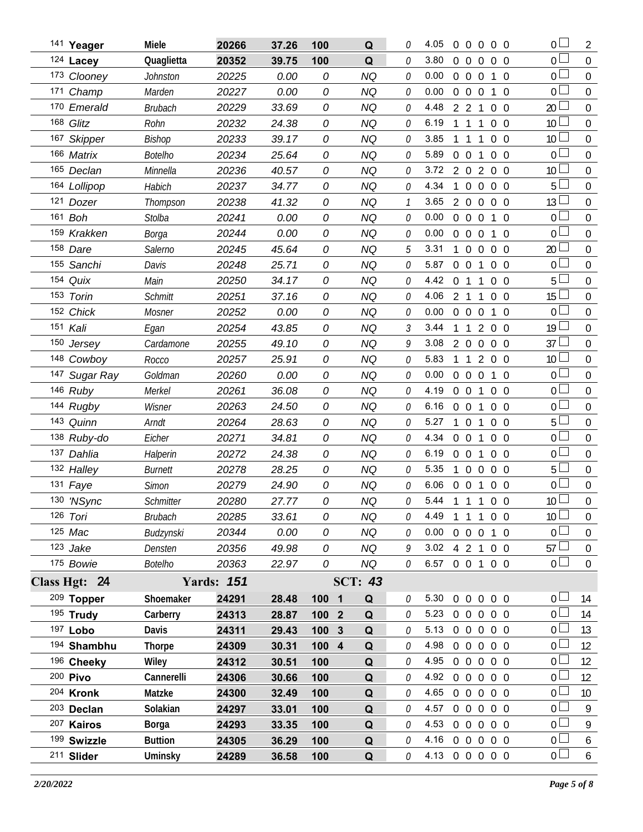|     | 141 Yeager    | Miele           | 20266             | 37.26 | 100              | Q              | 0            | 4.05           | $\overline{0}$ | $\Omega$          | $\Omega$       | $0\quad 0$     |                | 0 L             | 2                |
|-----|---------------|-----------------|-------------------|-------|------------------|----------------|--------------|----------------|----------------|-------------------|----------------|----------------|----------------|-----------------|------------------|
|     | 124 Lacey     | Quaglietta      | 20352             | 39.75 | 100              | Q              | 0            | 3.80           | $\overline{0}$ | $\overline{0}$    | $\overline{0}$ | $0\quad 0$     |                | 0 <sub>0</sub>  | $\mathbf 0$      |
|     | 173 Clooney   | <b>Johnston</b> | 20225             | 0.00  | 0                | <b>NQ</b>      | 0            | 0.00           | $\overline{0}$ | $\overline{0}$    | $\overline{0}$ | $\mathbf{1}$   | $\overline{0}$ | 0 L             | $\mathbf 0$      |
|     | 171 Champ     | Marden          | 20227             | 0.00  | 0                | <b>NQ</b>      | 0            | 0.00           | $\overline{0}$ | $\overline{0}$    | $\overline{0}$ | $\mathbf{1}$   | $\Omega$       | 0 <sub>0</sub>  | $\mathbf 0$      |
|     | 170 Emerald   | <b>Brubach</b>  | 20229             | 33.69 | 0                | <b>NQ</b>      | 0            | 4.48           |                | 2 <sub>2</sub>    | 1              | $0\quad 0$     |                | 20              | $\mathbf 0$      |
|     | 168 Glitz     | Rohn            | 20232             | 24.38 | 0                | <b>NQ</b>      | 0            | 6.19           |                | 1                 | 1              | 0 <sub>0</sub> |                | 10 <sup>°</sup> | $\boldsymbol{0}$ |
|     | 167 Skipper   | Bishop          | 20233             | 39.17 | 0                | <b>NQ</b>      | 0            | 3.85           |                | $\mathbf{1}$      | 1              | $\mathbf 0$    | $\overline{0}$ | 10 <sup>°</sup> | $\mathbf 0$      |
|     | 166 Matrix    | <b>Botelho</b>  | 20234             | 25.64 | 0                | <b>NQ</b>      | 0            | 5.89           | $\overline{0}$ | $\mathbf 0$       | 1              | $0\quad 0$     |                | $\overline{0}$  | $\mathbf 0$      |
|     | 165 Declan    | Minnella        | 20236             | 40.57 | 0                | <b>NQ</b>      | 0            | 3.72           | $\overline{2}$ | $\overline{0}$    | 2              | $\overline{0}$ | - 0            | 10 <sup>°</sup> | $\mathbf 0$      |
|     | 164 Lollipop  | Habich          | 20237             | 34.77 | 0                | <b>NQ</b>      | 0            | 4.34           |                | $\overline{0}$    | $\overline{0}$ | $0\quad 0$     |                | 5               | $\mathbf 0$      |
|     | 121 Dozer     | Thompson        | 20238             | 41.32 | 0                | <b>NQ</b>      | $\mathcal I$ | 3.65           | $\overline{2}$ | $\overline{0}$    | $\Omega$       | $\overline{0}$ | $\overline{0}$ | 13              | 0                |
|     | 161 Boh       | <b>Stolba</b>   | 20241             | 0.00  | 0                | <b>NQ</b>      | 0            | 0.00           | $\overline{0}$ | $\mathbf 0$       | $\Omega$       | $\mathbf{1}$   | $\Omega$       | 0 <sup>L</sup>  | $\mathbf 0$      |
|     | 159 Krakken   | Borga           | 20244             | 0.00  | 0                | <b>NQ</b>      | 0            | 0.00           | $\overline{0}$ | $\theta$          | $\Omega$       | $\mathbf{1}$   | $\overline{0}$ | $\overline{0}$  | 0                |
|     | 158 Dare      | Salerno         | 20245             | 45.64 | 0                | <b>NQ</b>      | 5            | 3.31           |                | $\overline{0}$    | $\overline{0}$ | $\mathbf 0$    | - 0            | 20              | $\boldsymbol{0}$ |
|     | 155 Sanchi    | Davis           | 20248             | 25.71 | 0                | <b>NQ</b>      | 0            | 5.87           | $\overline{0}$ | $\mathbf 0$       | 1              | $\overline{0}$ | $\overline{0}$ | 0               | $\boldsymbol{0}$ |
| 154 | Quix          | Main            | 20250             | 34.17 | 0                | <b>NQ</b>      | 0            | 4.42           | $\overline{0}$ | $\overline{1}$    | $\mathbf{1}$   | $\overline{0}$ | $\overline{0}$ | 5               | $\mathbf 0$      |
|     | 153 Torin     | <b>Schmitt</b>  | 20251             | 37.16 | 0                | <b>NQ</b>      | 0            | 4.06           | 2 <sub>1</sub> |                   | 1              | $\overline{0}$ | $\overline{0}$ | 15              | 0                |
|     | 152 Chick     | Mosner          | 20252             | 0.00  | 0                | <b>NQ</b>      | 0            | 0.00           | $\overline{0}$ | $\mathbf 0$       | $\overline{0}$ | $\mathbf{1}$   | $\overline{0}$ | 0 <sub>0</sub>  | $\mathbf 0$      |
|     | 151 Kali      | Egan            | 20254             | 43.85 | 0                | <b>NQ</b>      | 3            | 3.44           | 1              | $\overline{1}$    | $\overline{2}$ | $0\quad 0$     |                | 19 <sup>L</sup> | $\mathbf 0$      |
|     | 150 Jersey    | Cardamone       | 20255             | 49.10 | 0                | <b>NQ</b>      | 9            | 3.08           | $\overline{2}$ | $\mathbf 0$       | $\overline{0}$ | 0 <sub>0</sub> |                | 37 $\Box$       | $\mathbf 0$      |
|     | 148 Cowboy    | Rocco           | 20257             | 25.91 | 0                | <b>NQ</b>      | 0            | 5.83           |                | $1\quad1$         | $\overline{2}$ | $0\quad 0$     |                | 10 <sup>1</sup> | $\mathbf 0$      |
| 147 | Sugar Ray     | Goldman         | 20260             | 0.00  | 0                | <b>NQ</b>      | 0            | 0.00           | $\overline{0}$ | $\mathbf 0$       | $\overline{0}$ | $\mathbf{1}$   | -0             | 0 <sub>0</sub>  | $\boldsymbol{0}$ |
|     | 146 Ruby      | Merkel          | 20261             | 36.08 | 0                | <b>NQ</b>      | 0            | 4.19           | $\overline{0}$ | $\overline{0}$    | 1              | $\overline{0}$ | $\overline{0}$ | $0-$            | $\boldsymbol{0}$ |
|     | 144 Rugby     | Wisner          | 20263             | 24.50 | 0                | <b>NQ</b>      | 0            | 6.16           | $\overline{0}$ | $\overline{0}$    | 1              | $0\quad 0$     |                | 0 <sub>0</sub>  | $\boldsymbol{0}$ |
|     | 143 Quinn     | Arndt           | 20264             | 28.63 | 0                | <b>NQ</b>      | 0            | 5.27           | $\mathbf{1}$   | $\overline{0}$    | 1              | $0\quad 0$     |                | 5               | $\boldsymbol{0}$ |
|     | 138 Ruby-do   | Eicher          | 20271             | 34.81 | 0                | <b>NQ</b>      | 0            | 4.34           | $\overline{0}$ | $\overline{0}$    | $\mathbf{1}$   | 0 <sub>0</sub> |                | 0 <sub>0</sub>  | $\boldsymbol{0}$ |
|     | 137 Dahlia    | Halperin        | 20272             | 24.38 | 0                | <b>NQ</b>      | 0            | 6.19           | $\overline{0}$ | $\overline{0}$    | 1              | $0\quad 0$     |                | 0 <sup>L</sup>  | $\boldsymbol{0}$ |
|     | 132 Halley    | Burnett         | 20278             | 28.25 | 0                | <b>NQ</b>      | 0            | 5.35           | 1              | $\overline{0}$    | $\overline{0}$ | $0\quad 0$     |                | 5 <sub>1</sub>  | $\mathbf 0$      |
|     | 131 Faye      | <b>Simon</b>    | 20279             | 24.90 | 0                | <b>NQ</b>      | 0            | 6.06           | $\overline{0}$ | $\mathbf 0$       | 1              | 0 <sub>0</sub> |                | 0 <sub>l</sub>  | $\boldsymbol{0}$ |
|     | 130 'NSync    | Schmitter       | 20280             | 27.77 | 0                | <b>NQ</b>      | Ŋ            | 5.44           | $\mathbf{1}$   | $1\quad1$         |                | $\overline{0}$ | $\overline{0}$ | 10 <sup>2</sup> | $\overline{0}$   |
|     | 126 Tori      | <b>Brubach</b>  | 20285             | 33.61 | 0                | <b>NQ</b>      | 0            | 4.49           |                |                   | 1 1 1 0 0      |                |                | 10 <sup>L</sup> | $\overline{0}$   |
|     | 125 Mac       | Budzynski       | 20344             | 0.00  | 0                | NQ             | 0            | 0.00           |                | $0\quad 0\quad 0$ |                | 1 0            |                | 0 <sup>L</sup>  | $\boldsymbol{0}$ |
|     | $123$ Jake    | Densten         | 20356             | 49.98 | 0                | <b>NQ</b>      | 9            | 3.02 4 2 1 0 0 |                |                   |                |                |                | 57              | $\boldsymbol{0}$ |
|     | 175 Bowie     | Botelho         | 20363             | 22.97 | 0                | NQ             | $\theta$     | 6.57 0 0 1 0 0 |                |                   |                |                |                | 0 <sub>1</sub>  | $\mathbf 0$      |
|     | Class Hgt: 24 |                 | <b>Yards: 151</b> |       |                  | <b>SCT: 43</b> |              |                |                |                   |                |                |                |                 |                  |
|     | 209 Topper    | Shoemaker       | 24291             | 28.48 | 100 1            | Q              | 0            | 5.30           | 0 0 0 0 0      |                   |                |                |                | 0 <sub>0</sub>  | 14               |
|     | 195 Trudy     | Carberry        | 24313             | 28.87 | 100 <sub>2</sub> | Q              | 0            | 5.23 0 0 0 0 0 |                |                   |                |                |                | 0 <sub>0</sub>  | 14               |
|     | 197 Lobo      | Davis           | 24311             | 29.43 | 100 <sub>3</sub> | Q              | 0            | 5.13           |                |                   | 0 0 0 0 0      |                |                | 0 l             | 13               |
|     | 194 Shambhu   | <b>Thorpe</b>   | 24309             | 30.31 | $100$ 4          | Q              | 0            | 4.98           |                |                   | 0 0 0 0 0      |                |                | 0 <sub>l</sub>  | 12               |
|     | 196 Cheeky    | Wiley           | 24312             | 30.51 | 100              | Q              | 0            | 4.95           |                |                   | 0 0 0 0 0      |                |                | 0 <sup>L</sup>  | 12               |
|     | 200 Pivo      | Cannerelli      | 24306             | 30.66 | 100              | Q              | 0            | 4.92 0 0 0 0 0 |                |                   |                |                |                | 0 <sub>0</sub>  | 12               |
|     | 204 Kronk     | Matzke          | 24300             | 32.49 | 100              | Q              | 0            | 4.65           |                |                   | 0 0 0 0 0      |                |                | 0 <sub>0</sub>  | 10 <sup>°</sup>  |
|     | 203 Declan    | Solakian        | 24297             | 33.01 | 100              | Q              | 0            | 4.57           |                |                   | 0 0 0 0 0      |                |                | 0 <sup>1</sup>  | 9                |
|     | 207 Kairos    | Borga           | 24293             | 33.35 | 100              | Q              | 0            | 4.53           |                |                   | 0 0 0 0 0      |                |                | 0 <sub>1</sub>  | 9                |
|     | 199 Swizzle   | <b>Buttion</b>  | 24305             | 36.29 | 100              | Q              | 0            | 4.16           |                |                   | 0 0 0 0 0      |                |                | 0 <sub>0</sub>  | 6                |
|     | 211 Slider    | Uminsky         | 24289             | 36.58 | 100              | Q              | 0            | 4.13 0 0 0 0 0 |                |                   |                |                |                | 0 <sub>0</sub>  | 6                |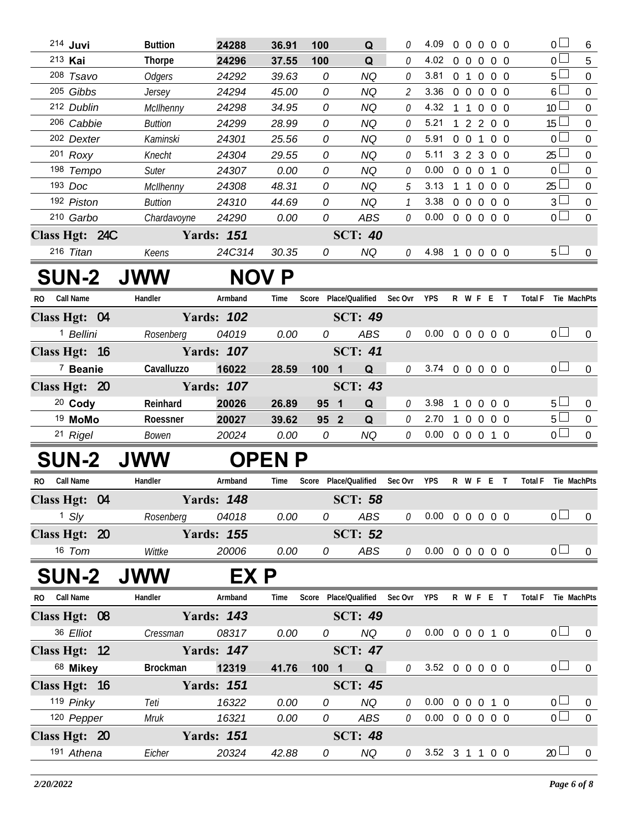| 214 Juvi             | <b>Buttion</b>  | 24288             | 36.91         | 100                   | Q              | 0                           | 4.09                       | 00000     |  |                     | 0 <sup>2</sup>  | 6                |
|----------------------|-----------------|-------------------|---------------|-----------------------|----------------|-----------------------------|----------------------------|-----------|--|---------------------|-----------------|------------------|
| 213 Kai              | <b>Thorpe</b>   | 24296             | 37.55         | 100                   | Q              | $\Omega$                    | 4.02                       | 00000     |  |                     | $0\perp$        | 5                |
| 208 Tsavo            | <b>Odgers</b>   | 24292             | 39.63         | 0                     | NQ             | 0                           | 3.81                       | 0 1 0 0 0 |  |                     | 5 <sup>1</sup>  | 0                |
| 205 Gibbs            | Jersey          | 24294             | 45.00         | 0                     | <b>NQ</b>      | $\mathcal{L}_{\mathcal{L}}$ | 3.36                       | 0 0 0 0 0 |  |                     | 6 <sup>L</sup>  | $\mathbf 0$      |
| 212 Dublin           | McIlhenny       | 24298             | 34.95         | 0                     | NQ             | 0                           | 4.32                       | 1 1 0 0 0 |  |                     | 10 <sup>1</sup> | $\overline{0}$   |
| 206 Cabbie           | Buttion         | 24299             | 28.99         | 0                     | NQ             | 0                           | 5.21                       | 1 2 2 0 0 |  |                     | 15L             | $\mathbf 0$      |
| 202 Dexter           | Kaminski        | 24301             | 25.56         | 0                     | NQ             | 0                           | 5.91                       | 0 0 1 0 0 |  |                     | 0 <sup>1</sup>  | 0                |
| $201$ Roxy           | Knecht          | 24304             | 29.55         | 0                     | NQ             | $\mathcal O$                | 5.11                       | 3 2 3 0 0 |  |                     | 25 <sup>1</sup> | $\boldsymbol{0}$ |
| 198 Tempo            | Suter           | 24307             | 0.00          | 0                     | NQ             | 0                           | 0.00                       | 0 0 0 1 0 |  |                     | 0 <sup>1</sup>  | $\overline{0}$   |
| 193 Doc              | McIlhenny       | 24308             | 48.31         | 0                     | <b>NQ</b>      | 5                           | 3.13                       | 1 1 0 0 0 |  |                     | $25$ $-$        | $\boldsymbol{0}$ |
| 192 Piston           | <b>Buttion</b>  | 24310             | 44.69         | 0                     | NQ             | $\mathcal{I}$               | 3.38                       | 0 0 0 0 0 |  |                     | 3 <sup>1</sup>  | $\pmb{0}$        |
| 210 Garbo            | Chardavoyne     | 24290             | 0.00          | 0                     | ABS            | 0                           | 0.00                       | 0 0 0 0 0 |  |                     | 0 <sub>0</sub>  | $\mathbf{0}$     |
| Class Hgt: 24C       |                 | <b>Yards: 151</b> |               |                       | <b>SCT: 40</b> |                             |                            |           |  |                     |                 |                  |
| 216 Titan            | Keens           | 24C314            | 30.35         | 0                     | NQ             | 0                           | 4.98                       | 1 0 0 0 0 |  |                     | $5-$            | $\mathbf{0}$     |
| <b>SUN-2 JWW</b>     |                 |                   | <b>NOV P</b>  |                       |                |                             |                            |           |  |                     |                 |                  |
| Call Name<br>RO.     | Handler         | Armband           | Time          | Score Place/Qualified |                | Sec Ovr                     | <b>YPS</b>                 | R W F E T |  | Total F Tie MachPts |                 |                  |
| Class Hgt: 04        |                 | <b>Yards: 102</b> |               |                       | <b>SCT: 49</b> |                             |                            |           |  |                     |                 |                  |
| <sup>1</sup> Bellini | Rosenberg       | 04019             | 0.00          | 0                     | ABS            | 0                           | $0.00 \t0 \t0 \t0 \t0 \t0$ |           |  |                     | 0 <sup>1</sup>  | $\mathbf{0}$     |
| Class Hgt: 16        |                 | <b>Yards: 107</b> |               |                       | <b>SCT: 41</b> |                             |                            |           |  |                     |                 |                  |
| <sup>7</sup> Beanie  | Cavalluzzo      | 16022             | 28.59         | 100 1                 | Q              | 0                           | 3.74 0 0 0 0 0             |           |  |                     | $0-$            | $\mathbf{0}$     |
| Class Hgt: 20        |                 | <b>Yards: 107</b> |               |                       | <b>SCT: 43</b> |                             |                            |           |  |                     |                 |                  |
| $20$ Cody            | Reinhard        | 20026             | 26.89         | 95 1                  | Q              | 0                           | 3.98                       | 1 0 0 0 0 |  |                     | $5 -$           | $\overline{0}$   |
| <sup>19</sup> MoMo   | Roessner        | 20027             | 39.62         | 95 2                  | Q              | 0                           | 2.70                       | 1 0 0 0 0 |  |                     | 5 <sup>1</sup>  | $\mathbf{0}$     |
| 21 Rigel             | Bowen           | 20024             | 0.00          | 0                     | NQ             | 0                           | $0.00 \t0 \t0 \t0 \t1 \t0$ |           |  |                     | 0 <sup>1</sup>  | $\overline{0}$   |
| <b>SUN-2</b>         | <b>JWW</b>      |                   | <b>OPEN P</b> |                       |                |                             |                            |           |  |                     |                 |                  |
| Call Name<br>RO.     | Handler         | Armband           | Time          | Score Place/Qualified |                | Sec Ovr                     | YPS                        | R W F E T |  | <b>Total F</b>      |                 | Tie MachPts      |
| Class Hgt: 04        |                 | <b>Yards: 148</b> |               |                       | <b>SCT: 58</b> |                             |                            |           |  |                     |                 |                  |
| $1$ Sly              | Rosenberg       | 04018             | 0.00          | 0                     | ABS            | 0                           | $0.00 \t0 \t0 \t0 \t0 \t0$ |           |  |                     | 0 <sub>0</sub>  | $\overline{0}$   |
| Class Hgt: 20        |                 | <b>Yards: 155</b> |               |                       | <b>SCT: 52</b> |                             |                            |           |  |                     |                 |                  |
| 16 Tom               | Wittke          | 20006             | 0.00          | 0                     | ABS            | 0                           | $0.00 \t0 \t0 \t0 \t0 \t0$ |           |  |                     | 0 <sub>0</sub>  | $\mathbf 0$      |
|                      |                 |                   |               |                       |                |                             |                            |           |  |                     |                 |                  |
| <b>SUN-2</b>         | <b>JWW</b>      | EX P              |               |                       |                |                             |                            |           |  |                     |                 |                  |
| RO Call Name         | Handler         | Armband           | Time          | Score Place/Qualified |                | Sec Ovr                     | YPS                        | R W F E T |  | <b>Total F</b>      |                 | Tie MachPts      |
| Class Hgt: 08        |                 | <b>Yards: 143</b> |               |                       | <b>SCT: 49</b> |                             |                            |           |  |                     |                 |                  |
| 36 Elliot            | Cressman        | 08317             | 0.00          | 0                     | NQ             | 0                           | $0.00 \t0 \t0 \t0 \t1 \t0$ |           |  |                     | 0 <sub>0</sub>  | $\overline{0}$   |
| Class Hgt: 12        |                 | <b>Yards: 147</b> |               |                       | <b>SCT: 47</b> |                             |                            |           |  |                     |                 |                  |
| 68 Mikey             | <b>Brockman</b> | 12319             | 41.76         | $100 1$               | Q              | 0                           | 3.52 0 0 0 0 0             |           |  |                     | 0 <sub>0</sub>  | $\bf{0}$         |
| Class Hgt: 16        |                 | <b>Yards: 151</b> |               |                       | <b>SCT: 45</b> |                             |                            |           |  |                     |                 |                  |
| 119 Pinky            | Teti            | 16322             | 0.00          | 0                     | <b>NQ</b>      | $\mathcal O$                | 0.00                       | 0 0 0 1 0 |  |                     | 0 <sub>0</sub>  | $\overline{0}$   |
| 120 Pepper           | Mruk            | 16321             | 0.00          | 0                     | ABS            | 0                           | $0.00 \t0 \t0 \t0 \t0 \t0$ |           |  |                     | $\overline{0}$  | $\mathbf 0$      |
| Class Hgt: 20        |                 | <b>Yards: 151</b> |               |                       | <b>SCT: 48</b> |                             |                            |           |  |                     |                 |                  |
| 191 Athena           | Eicher          | 20324             | 42.88         | 0                     | NQ             | 0                           | 3.52 3 1 1 0 0             |           |  |                     | $20 \Box$       | $\overline{0}$   |
|                      |                 |                   |               |                       |                |                             |                            |           |  |                     |                 |                  |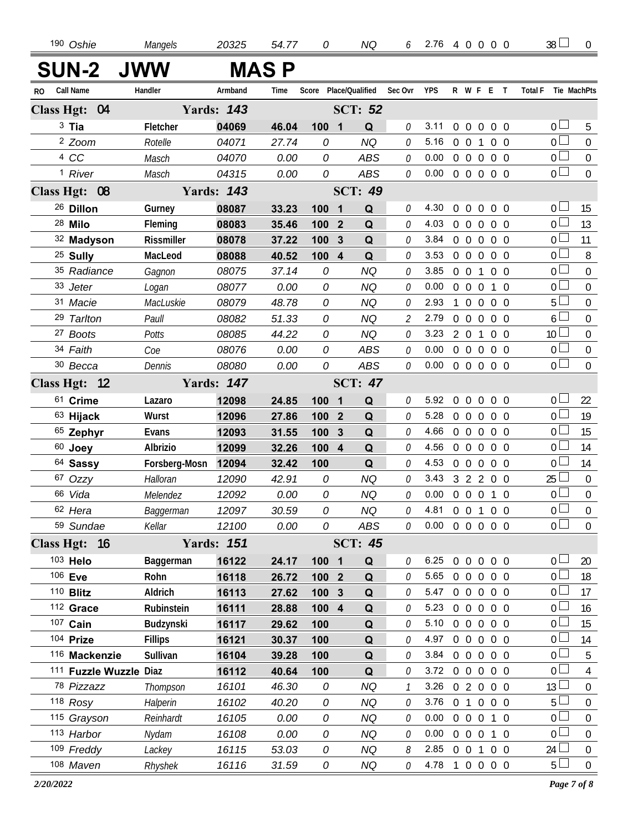| 190 Oshie               | Mangels        | 20325             | 54.77 | 0                     |                         | NQ             |               | $6$ 2.76 4 0 0 0 0 |                   |                |                   |                | 38 <sup>1</sup> | $\overline{0}$   |
|-------------------------|----------------|-------------------|-------|-----------------------|-------------------------|----------------|---------------|--------------------|-------------------|----------------|-------------------|----------------|-----------------|------------------|
| <b>SUN-2 JWW</b>        |                |                   | MAS P |                       |                         |                |               |                    |                   |                |                   |                |                 |                  |
| <b>Call Name</b><br>RO. | Handler        | Armband           | Time  | Score Place/Qualified |                         |                | Sec Ovr YPS   |                    |                   |                | R W F E T         | <b>Total F</b> | Tie MachPts     |                  |
| Class Hgt: 04           |                | <b>Yards: 143</b> |       |                       |                         | <b>SCT: 52</b> |               |                    |                   |                |                   |                |                 |                  |
| $3$ Tia                 | Fletcher       | 04069             | 46.04 | 100                   | $\overline{\mathbf{1}}$ | Q              | 0             | 3.11               | $0\quad 0$        | $\overline{0}$ | $0\quad 0$        |                | 0 <sub>1</sub>  | 5                |
| <sup>2</sup> Zoom       | Rotelle        | 04071             | 27.74 | 0                     |                         | <b>NQ</b>      | 0             | 5.16               | $0\quad 0$        | $\overline{1}$ | $0\quad 0$        |                | $\overline{0}$  | $\mathbf 0$      |
| 4 CC                    | Masch          | 04070             | 0.00  | 0                     |                         | <b>ABS</b>     | 0             | 0.00               | $0\quad 0$        | $\overline{0}$ | $0\quad 0$        |                | $\overline{0}$  | $\boldsymbol{0}$ |
| <sup>1</sup> River      | Masch          | 04315             | 0.00  | 0                     |                         | <b>ABS</b>     | 0             | 0.00               | $0\quad 0\quad 0$ |                | $0\quad 0$        |                | $\overline{0}$  | $\overline{0}$   |
| Class Hgt: 08           |                | <b>Yards: 143</b> |       |                       |                         | <b>SCT: 49</b> |               |                    |                   |                |                   |                |                 |                  |
| <sup>26</sup> Dillon    | Gurney         | 08087             | 33.23 | 100                   | $\mathbf{1}$            | Q              | 0             | 4.30               | $0\quad 0$        |                | $0\quad 0\quad 0$ |                | $0\Box$         | 15               |
| 28 Milo                 | Fleming        | 08083             | 35.46 | 100                   | $\overline{2}$          | Q              | 0             | 4.03               | $0\quad 0$        | $\overline{0}$ | $0\quad 0$        |                | 0 <sup>2</sup>  | 13               |
| 32 Madyson              | Rissmiller     | 08078             | 37.22 | 100                   | $\mathbf{3}$            | Q              | 0             | 3.84               | $0\quad 0$        | $\mathbf 0$    | $0\quad 0$        |                | 0 <sup>1</sup>  | 11               |
| <sup>25</sup> Sully     | MacLeod        | 08088             | 40.52 | 100                   | $\overline{4}$          | Q              | 0             | 3.53               | $0\quad 0$        | $\overline{0}$ | $0\quad 0$        |                | $\overline{0}$  | 8                |
| 35 Radiance             | Gagnon         | 08075             | 37.14 | 0                     |                         | <b>NQ</b>      | 0             | 3.85               | $0\quad 0$        | $\mathbf{1}$   | $0\quad 0$        |                | $\overline{0}$  | $\mathbf 0$      |
| 33 Jeter                | Logan          | 08077             | 0.00  | 0                     |                         | <b>NQ</b>      | 0             | 0.00               | $0\quad 0$        | $\overline{0}$ | $1\quad$ 0        |                | $0\Box$         | $\mathbf 0$      |
| 31 Macie                | MacLuskie      | 08079             | 48.78 | 0                     |                         | <b>NQ</b>      | 0             | 2.93               | $1\quad0$         | $\overline{0}$ | $0\quad 0$        |                | $5\Box$         | $\overline{0}$   |
| 29 Tarlton              | Paull          | 08082             | 51.33 | 0                     |                         | <b>NQ</b>      | 2             | 2.79               | $0\quad 0$        | $\overline{0}$ | $0\quad 0$        |                | $6 \Box$        | $\overline{0}$   |
| 27 Boots                | Potts          | 08085             | 44.22 | 0                     |                         | <b>NQ</b>      | 0             | 3.23               | 201               |                | $0\quad 0$        |                | 10 <sup>2</sup> | $\overline{0}$   |
| 34 Faith                | Coe            | 08076             | 0.00  | 0                     |                         | <b>ABS</b>     | 0             | 0.00               | $0\quad 0$        | $\overline{0}$ | $0\quad 0$        |                | $\overline{0}$  | $\mathbf 0$      |
| 30 Becca                | Dennis         | 08080             | 0.00  | 0                     |                         | <b>ABS</b>     | 0             | 0.00               |                   |                | 0 0 0 0 0         |                | $\overline{0}$  | $\overline{0}$   |
| Class Hgt: 12           |                | <b>Yards: 147</b> |       |                       |                         | <b>SCT: 47</b> |               |                    |                   |                |                   |                |                 |                  |
| 61 Crime                | Lazaro         | 12098             | 24.85 | 100                   | $\mathbf{1}$            | Q              | 0             | 5.92               |                   |                | 0 0 0 0 0         |                | 0 <sub>0</sub>  | 22               |
| 63 Hijack               | Wurst          | 12096             | 27.86 | 100                   | $\overline{2}$          | Q              | 0             | 5.28               |                   |                | 0 0 0 0 0         |                | 0 <sup>1</sup>  | 19               |
| 65 Zephyr               | Evans          | 12093             | 31.55 | 100                   | 3                       | Q              | 0             | 4.66               |                   |                | 0 0 0 0 0         |                | 0 <sub>0</sub>  | 15               |
| 60 Joey                 | Albrizio       | 12099             | 32.26 | 100                   | $\overline{4}$          | Q              | 0             | 4.56               |                   |                | 0 0 0 0 0         |                | 0 <sup>5</sup>  | 14               |
| 64 Sassy                | Forsberg-Mosn  | 12094             | 32.42 | 100                   |                         | Q              | 0             | 4.53               | $0\quad 0$        | $\overline{0}$ | $0\quad 0$        |                | 0 <sub>0</sub>  | 14               |
| 67 Ozzy                 | Halloran       | 12090             | 42.91 | 0                     |                         | <b>NQ</b>      | 0             | 3.43               |                   |                | 3 2 2 0 0         |                | $25 \perp$      | $\boldsymbol{0}$ |
| 66 Vida                 | Melendez       | 12092             | 0.00  | ${\cal O}$            |                         | <b>NQ</b>      | 0             | 0.00               | $0\quad 0\quad 0$ |                | $1\quad0$         |                | 0 <sub>0</sub>  | $\mathbf 0$      |
| 62 Hera                 | Baggerman      | 12097             | 30.59 | 0                     |                         | <b>NQ</b>      | 0             | 4.81               | $0 \t0 \t1$       |                | $0\quad 0$        |                | $_0\sqcup$      | $\boldsymbol{0}$ |
| 59 Sundae               | Kellar         | 12100             | 0.00  | 0                     |                         | ABS            | 0             | 0.00               |                   |                | 0 0 0 0 0         |                | $\overline{0}$  | $\mathbf 0$      |
| Class Hgt: 16           |                | <b>Yards: 151</b> |       |                       |                         | <b>SCT: 45</b> |               |                    |                   |                |                   |                |                 |                  |
| 103 Helo                | Baggerman      | 16122             | 24.17 | 100 1                 |                         | Q              | 0             | 6.25               | $0\quad 0$        | $\overline{0}$ | $0\quad 0$        |                | 0 <sub>0</sub>  | 20               |
| 106 Eve                 | Rohn           | 16118             | 26.72 | 100 <sub>2</sub>      |                         | Q              | 0             | 5.65               | $0\quad 0$        | $\overline{0}$ | $0\quad 0$        |                | 0 <sub>0</sub>  | 18               |
| 110 <b>Blitz</b>        | Aldrich        | 16113             | 27.62 | 100 3                 |                         | Q              | 0             | 5.47               |                   |                | 0 0 0 0 0         |                | 0 <sub>0</sub>  | 17               |
| 112 Grace               | Rubinstein     | 16111             | 28.88 | 100                   | $\overline{\mathbf{4}}$ | Q              | 0             | 5.23               | $0\quad 0$        |                | $0\quad 0\quad 0$ |                | 0 <sub>0</sub>  | 16               |
| 107 Cain                | Budzynski      | 16117             | 29.62 | 100                   |                         | Q              | 0             | 5.10               | $0\quad 0$        |                | $0\quad 0\quad 0$ |                | 0 <sup>2</sup>  | 15               |
| 104 Prize               | <b>Fillips</b> | 16121             | 30.37 | 100                   |                         | Q              | 0             | 4.97               | $0\quad 0$        |                | $0\quad 0\quad 0$ |                | 0 <sub>0</sub>  | 14               |
| 116 Mackenzie           | Sullivan       | 16104             | 39.28 | 100                   |                         | Q              | 0             | 3.84               |                   |                | 0 0 0 0 0         |                | $\overline{0}$  | 5                |
| 111 Fuzzle Wuzzle Diaz  |                | 16112             | 40.64 | 100                   |                         | Q              | 0             | 3.72               | $0\quad 0$        |                | $0\quad 0\quad 0$ |                | 0 <sup>2</sup>  | 4                |
| 78 Pizzazz              | Thompson       | 16101             | 46.30 | 0                     |                         | <b>NQ</b>      | $\mathcal{I}$ | 3.26               |                   |                | 02000             |                | 13 <sup>1</sup> | $\overline{0}$   |
| 118 Rosy                | Halperin       | 16102             | 40.20 | 0                     |                         | <b>NQ</b>      | 0             | 3.76               | 0 <sub>1</sub>    |                | $0\quad 0\quad 0$ |                | $5\Box$         | $\overline{0}$   |
| 115 Grayson             | Reinhardt      | 16105             | 0.00  | 0                     |                         | <b>NQ</b>      | 0             | 0.00               |                   |                | 0 0 0 1 0         |                | $\overline{0}$  | $\boldsymbol{0}$ |
| 113 Harbor              | Nydam          | 16108             | 0.00  | 0                     |                         | <b>NQ</b>      | 0             | 0.00               | $0\quad 0\quad 0$ |                | 1 0               |                | $\overline{0}$  | $\overline{0}$   |
| 109 Freddy              | Lackey         | 16115             | 53.03 | 0                     |                         | NQ             | 8             | 2.85               |                   |                | 0 0 1 0 0         |                | 24 $\Box$       | $\boldsymbol{0}$ |
| 108 Maven               | Rhyshek        | 16116             | 31.59 | 0                     |                         | NQ             | 0             | 4.78 1 0 0 0 0     |                   |                |                   |                | $5\Box$         | $\overline{0}$   |